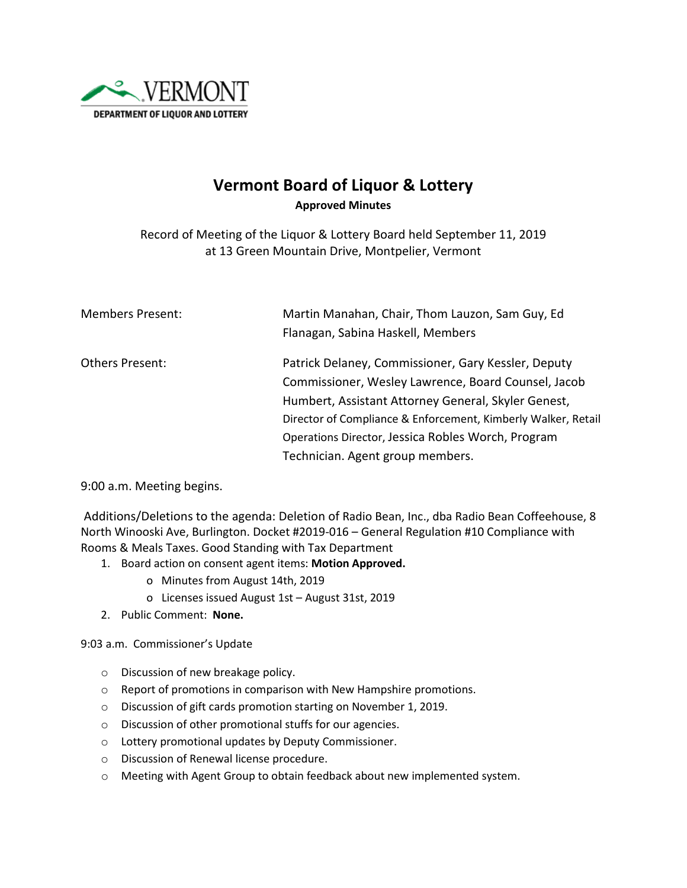

## **Vermont Board of Liquor & Lottery Approved Minutes**

Record of Meeting of the Liquor & Lottery Board held September 11, 2019 at 13 Green Mountain Drive, Montpelier, Vermont

| <b>Members Present:</b> | Martin Manahan, Chair, Thom Lauzon, Sam Guy, Ed               |
|-------------------------|---------------------------------------------------------------|
|                         | Flanagan, Sabina Haskell, Members                             |
| Others Present:         | Patrick Delaney, Commissioner, Gary Kessler, Deputy           |
|                         | Commissioner, Wesley Lawrence, Board Counsel, Jacob           |
|                         | Humbert, Assistant Attorney General, Skyler Genest,           |
|                         | Director of Compliance & Enforcement, Kimberly Walker, Retail |
|                         | Operations Director, Jessica Robles Worch, Program            |
|                         | Technician. Agent group members.                              |

9:00 a.m. Meeting begins.

Additions/Deletions to the agenda: Deletion of Radio Bean, Inc., dba Radio Bean Coffeehouse, 8 North Winooski Ave, Burlington. Docket #2019-016 – General Regulation #10 Compliance with Rooms & Meals Taxes. Good Standing with Tax Department

- 1. Board action on consent agent items: **Motion Approved.**
	- o Minutes from August 14th, 2019
	- o Licenses issued August 1st August 31st, 2019
- 2. Public Comment: **None.**

## 9:03 a.m. Commissioner's Update

- o Discussion of new breakage policy.
- o Report of promotions in comparison with New Hampshire promotions.
- o Discussion of gift cards promotion starting on November 1, 2019.
- o Discussion of other promotional stuffs for our agencies.
- o Lottery promotional updates by Deputy Commissioner.
- o Discussion of Renewal license procedure.
- o Meeting with Agent Group to obtain feedback about new implemented system.